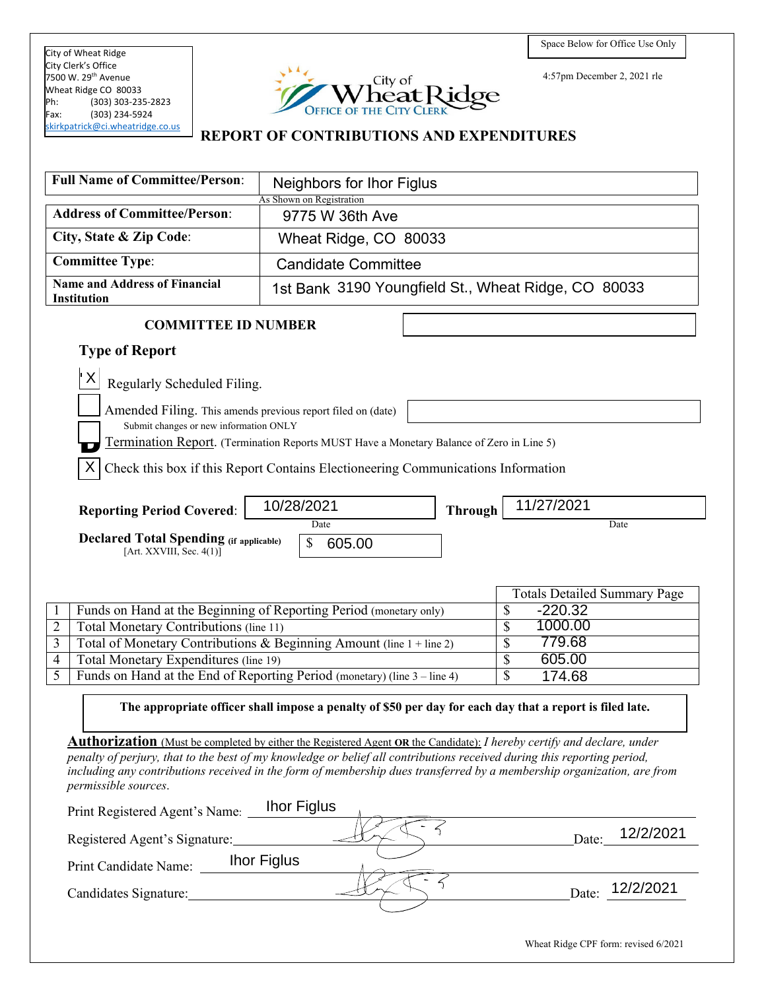City of Wheat Ridge City Clerk's Office 7500 W. 29<sup>th</sup> Avenue Wheat Ridge CO 80033<br>Ph: (303) 303-235  $(303)$  303-235-2823 Fax: (303) 234-5924 [skirkpatrick@ci.wheatridge.co.us](mailto:skirkpatrick@ci.wheatridge.co.us) 



4:57pm December 2, 2021 rle

### **REPORT OF CONTRIBUTIONS AND EXPENDITURES**

| <b>Full Name of Committee/Person:</b>                                                                         | Neighbors for Ihor Figlus<br>As Shown on Registration                                                                                                                                                                                                                                                                                                                                             |                                     |  |
|---------------------------------------------------------------------------------------------------------------|---------------------------------------------------------------------------------------------------------------------------------------------------------------------------------------------------------------------------------------------------------------------------------------------------------------------------------------------------------------------------------------------------|-------------------------------------|--|
| <b>Address of Committee/Person:</b>                                                                           | 9775 W 36th Ave                                                                                                                                                                                                                                                                                                                                                                                   |                                     |  |
| City, State & Zip Code:                                                                                       | Wheat Ridge, CO 80033                                                                                                                                                                                                                                                                                                                                                                             |                                     |  |
| <b>Committee Type:</b>                                                                                        | <b>Candidate Committee</b>                                                                                                                                                                                                                                                                                                                                                                        |                                     |  |
| <b>Name and Address of Financial</b><br><b>Institution</b>                                                    | 1st Bank 3190 Youngfield St., Wheat Ridge, CO 80033                                                                                                                                                                                                                                                                                                                                               |                                     |  |
| <b>COMMITTEE ID NUMBER</b>                                                                                    |                                                                                                                                                                                                                                                                                                                                                                                                   |                                     |  |
| <b>Type of Report</b>                                                                                         |                                                                                                                                                                                                                                                                                                                                                                                                   |                                     |  |
| X<br>Regularly Scheduled Filing.                                                                              |                                                                                                                                                                                                                                                                                                                                                                                                   |                                     |  |
| Amended Filing. This amends previous report filed on (date)<br>Submit changes or new information ONLY         |                                                                                                                                                                                                                                                                                                                                                                                                   |                                     |  |
| X                                                                                                             | Termination Report. (Termination Reports MUST Have a Monetary Balance of Zero in Line 5)<br>Check this box if this Report Contains Electioneering Communications Information                                                                                                                                                                                                                      |                                     |  |
|                                                                                                               |                                                                                                                                                                                                                                                                                                                                                                                                   |                                     |  |
| <b>Reporting Period Covered:</b>                                                                              | 10/28/2021<br><b>Through</b>                                                                                                                                                                                                                                                                                                                                                                      | 11/27/2021                          |  |
| Date<br>Date<br><b>Declared Total Spending (if applicable)</b><br>\$<br>605.00<br>[Art. $XXVIII$ , Sec. 4(1)] |                                                                                                                                                                                                                                                                                                                                                                                                   |                                     |  |
|                                                                                                               |                                                                                                                                                                                                                                                                                                                                                                                                   | <b>Totals Detailed Summary Page</b> |  |
|                                                                                                               | Funds on Hand at the Beginning of Reporting Period (monetary only)                                                                                                                                                                                                                                                                                                                                | \$<br>$-220.32$                     |  |
| 1000.00<br>\$<br>Total Monetary Contributions (line 11)<br>2                                                  |                                                                                                                                                                                                                                                                                                                                                                                                   |                                     |  |
|                                                                                                               |                                                                                                                                                                                                                                                                                                                                                                                                   |                                     |  |
| 3                                                                                                             | Total of Monetary Contributions & Beginning Amount (line 1 + line 2)                                                                                                                                                                                                                                                                                                                              | 779.68<br>\$                        |  |
| Total Monetary Expenditures (line 19)<br>$\overline{4}$                                                       |                                                                                                                                                                                                                                                                                                                                                                                                   | 605.00<br>\$                        |  |
| $\overline{5}$                                                                                                | Funds on Hand at the End of Reporting Period (monetary) (line 3 – line 4)                                                                                                                                                                                                                                                                                                                         | \$<br>174.68                        |  |
|                                                                                                               | The appropriate officer shall impose a penalty of \$50 per day for each day that a report is filed late.                                                                                                                                                                                                                                                                                          |                                     |  |
| permissible sources.<br>Print Registered Agent's Name:                                                        | <b>Authorization</b> (Must be completed by either the Registered Agent OR the Candidate): I hereby certify and declare, under<br>penalty of perjury, that to the best of my knowledge or belief all contributions received during this reporting period,<br>including any contributions received in the form of membership dues transferred by a membership organization, are from<br>Ihor Figlus |                                     |  |
| Registered Agent's Signature:                                                                                 |                                                                                                                                                                                                                                                                                                                                                                                                   | 12/2/2021<br>Date:                  |  |
| Print Candidate Name:                                                                                         | <b>Ihor Figlus</b>                                                                                                                                                                                                                                                                                                                                                                                |                                     |  |
| Candidates Signature:                                                                                         |                                                                                                                                                                                                                                                                                                                                                                                                   | 12/2/2021<br>Date:                  |  |

Wheat Ridge CPF form: revised 6/2021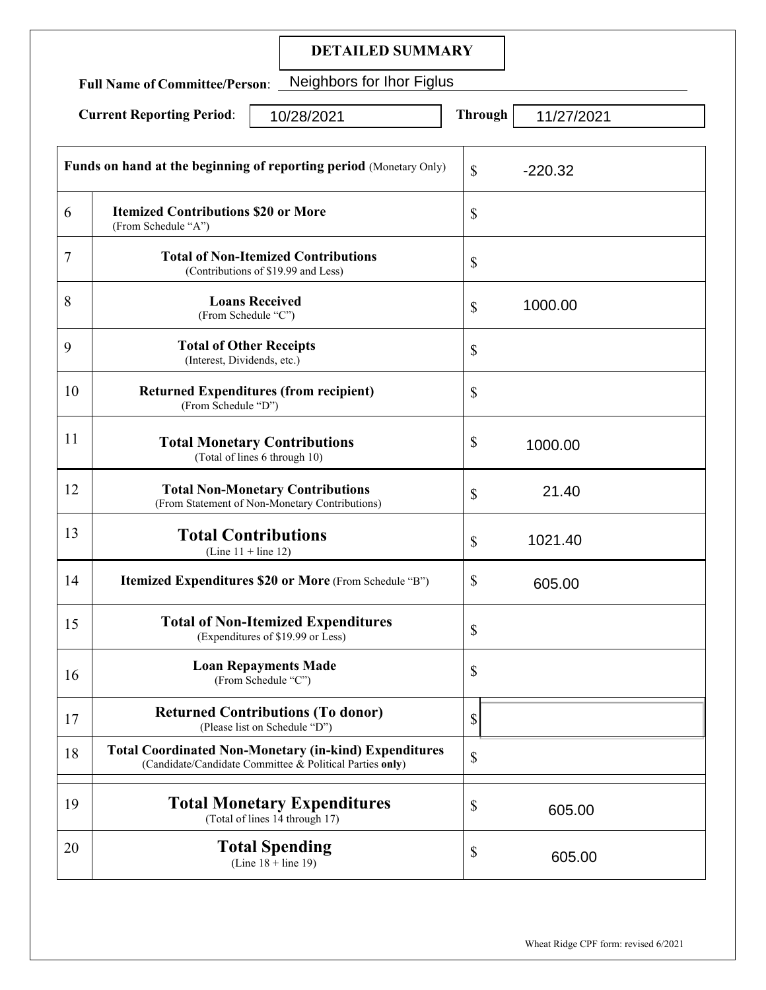## **DETAILED SUMMARY**

**Full Name of Committee/Person**: Neighbors for Ihor Figlus

| <b>Current Reporting Period:</b><br>10/28/2021 |                                                                   | <b>Through</b>                                                                                                           | 11/27/2021 |           |
|------------------------------------------------|-------------------------------------------------------------------|--------------------------------------------------------------------------------------------------------------------------|------------|-----------|
|                                                |                                                                   | <b>Funds on hand at the beginning of reporting period</b> (Monetary Only)                                                | \$         | $-220.32$ |
| 6                                              | <b>Itemized Contributions \$20 or More</b><br>(From Schedule "A") |                                                                                                                          | \$         |           |
| 7                                              |                                                                   | <b>Total of Non-Itemized Contributions</b><br>(Contributions of \$19.99 and Less)                                        | \$         |           |
| 8                                              | (From Schedule "C")                                               | <b>Loans Received</b>                                                                                                    | \$         | 1000.00   |
| 9                                              | <b>Total of Other Receipts</b><br>(Interest, Dividends, etc.)     |                                                                                                                          | \$         |           |
| 10                                             | (From Schedule "D")                                               | <b>Returned Expenditures (from recipient)</b>                                                                            | \$         |           |
| 11                                             |                                                                   | <b>Total Monetary Contributions</b><br>(Total of lines 6 through 10)                                                     | \$         | 1000.00   |
| 12                                             |                                                                   | <b>Total Non-Monetary Contributions</b><br>(From Statement of Non-Monetary Contributions)                                | \$         | 21.40     |
| 13                                             | (Line $11 +$ line 12)                                             | <b>Total Contributions</b>                                                                                               | \$         | 1021.40   |
| 14                                             |                                                                   | Itemized Expenditures \$20 or More (From Schedule "B")                                                                   | \$         | 605.00    |
| 15                                             |                                                                   | <b>Total of Non-Itemized Expenditures</b><br>(Expenditures of \$19.99 or Less)                                           | \$         |           |
| 16                                             |                                                                   | <b>Loan Repayments Made</b><br>(From Schedule "C")                                                                       | \$         |           |
| 17                                             |                                                                   | <b>Returned Contributions (To donor)</b><br>(Please list on Schedule "D")                                                | \$         |           |
| 18                                             |                                                                   | <b>Total Coordinated Non-Monetary (in-kind) Expenditures</b><br>(Candidate/Candidate Committee & Political Parties only) | \$         |           |
| 19                                             |                                                                   | <b>Total Monetary Expenditures</b><br>(Total of lines 14 through 17)                                                     | \$         | 605.00    |
| 20                                             |                                                                   | <b>Total Spending</b><br>(Line $18 + line 19$ )                                                                          | \$         | 605.00    |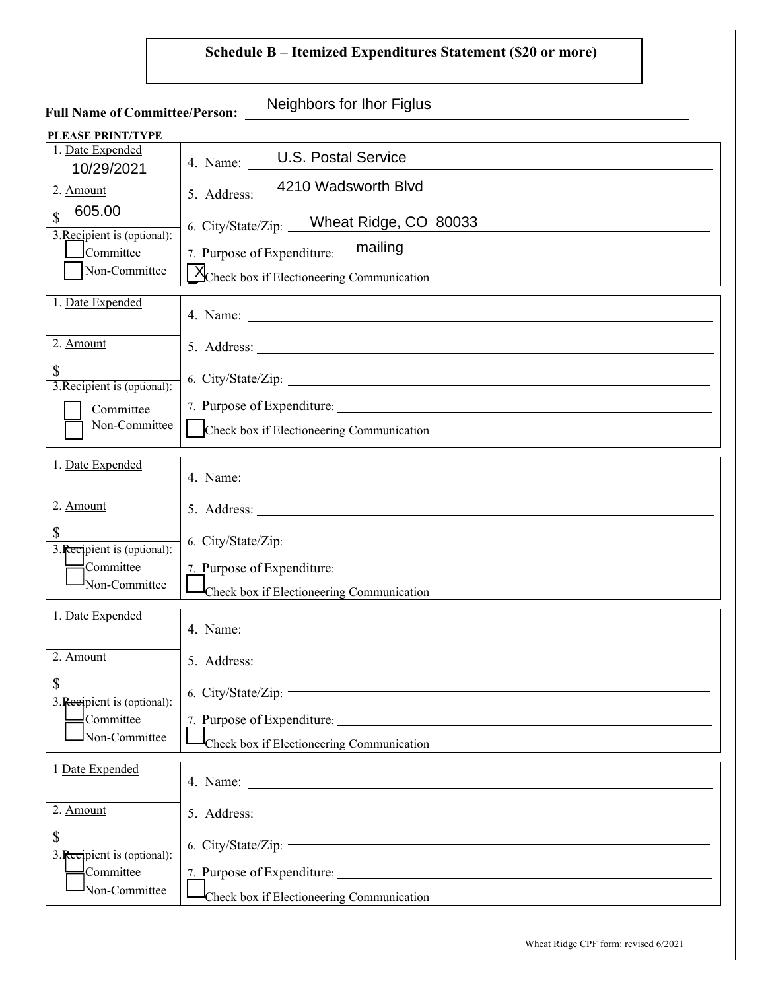# **Schedule B – Itemized Expenditures Statement (\$20 or more)**

| <b>Full Name of Committee/Person:</b>    | Neighbors for Ihor Figlus                                                                                         |
|------------------------------------------|-------------------------------------------------------------------------------------------------------------------|
| <b>PLEASE PRINT/TYPE</b>                 |                                                                                                                   |
| 1. Date Expended<br>10/29/2021           | 4. Name: U.S. Postal Service                                                                                      |
| 2. Amount                                | 5. Address: 4210 Wadsworth Blvd                                                                                   |
| 605.00<br>\$                             | 6. City/State/Zip: Wheat Ridge, CO 80033                                                                          |
| 3. Recipient is (optional):<br>Committee | 7. Purpose of Expenditure: mailing                                                                                |
| Non-Committee                            | Mcheck box if Electioneering Communication                                                                        |
| 1. Date Expended                         |                                                                                                                   |
| 2. Amount                                |                                                                                                                   |
| \$<br>3. Recipient is (optional):        | 6. City/State/Zip:                                                                                                |
| Committee<br>Non-Committee               |                                                                                                                   |
|                                          | Check box if Electioneering Communication                                                                         |
| 1. Date Expended                         |                                                                                                                   |
| 2. Amount                                |                                                                                                                   |
| \$<br>3. Recipient is (optional):        | 6. City/State/Zip:                                                                                                |
| Committee                                |                                                                                                                   |
| Non-Committee                            | Check box if Electioneering Communication                                                                         |
| 1. Date Expended                         | 4. Name:                                                                                                          |
| 2. Amount                                |                                                                                                                   |
| \$<br>3. Recipient is (optional):        | the control of the control of the control of the control of the control of the control of<br>6. City/State/Zip: - |
| Committee<br>Non-Committee               |                                                                                                                   |
|                                          | Check box if Electioneering Communication                                                                         |
| 1 Date Expended                          |                                                                                                                   |
| 2. Amount                                |                                                                                                                   |
| \$<br>3. Recipient is (optional):        | the control of the control of the control of the control of the control of<br>6. City/State/Zip: $-$              |
| $\equiv$ Committee                       |                                                                                                                   |
| Non-Committee                            | Check box if Electioneering Communication                                                                         |
|                                          |                                                                                                                   |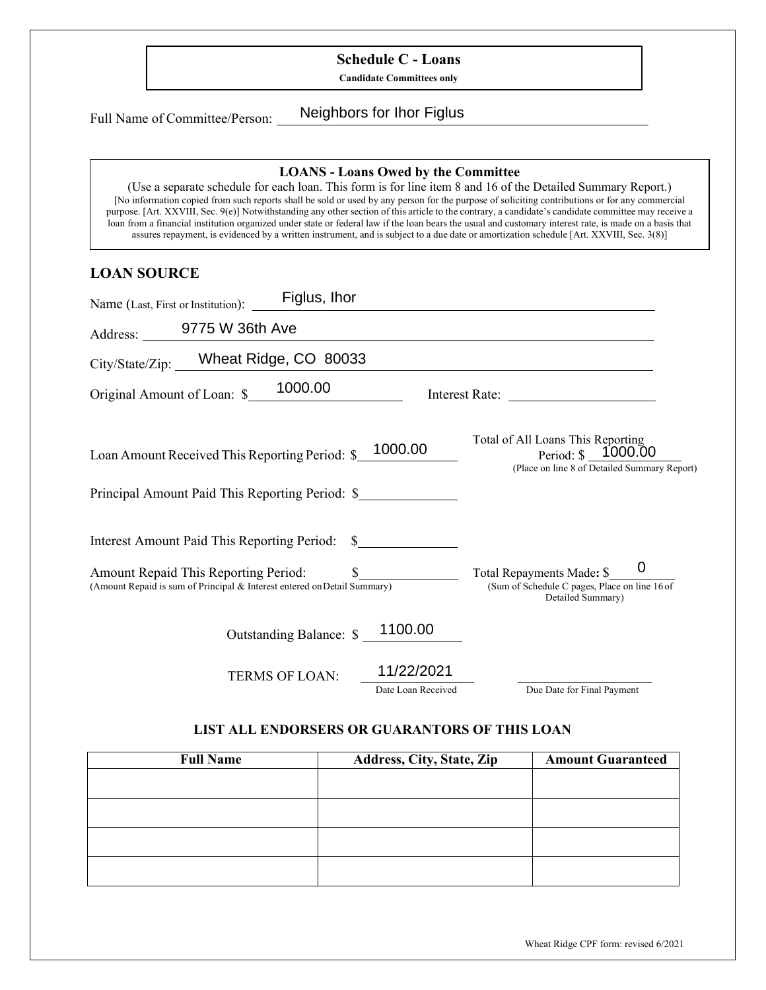## **Schedule C - Loans**

**Candidate Committees only**

Full Name of Committee/Person:

Neighbors for Ihor Figlus

#### **LOANS - Loans Owed by the Committee**

(Use a separate schedule for each loan. This form is for line item 8 and 16 of the Detailed Summary Report.) [No information copied from such reports shall be sold or used by any person for the purpose of soliciting contributions or for any commercial purpose. [Art. XXVIII, Sec. 9(e)] Notwithstanding any other section of this article to the contrary, a candidate's candidate committee may receive a loan from a financial institution organized under state or federal law if the loan bears the usual and customary interest rate, is made on a basis that assures repayment, is evidenced by a written instrument, and is subject to a due date or amortization schedule [Art. XXVIII, Sec. 3(8)]

#### **LOAN SOURCE**

| Figlus, Ihor<br>Name (Last, First or Institution):                       |            |                                                                                                             |
|--------------------------------------------------------------------------|------------|-------------------------------------------------------------------------------------------------------------|
| Address: 9775 W 36th Ave                                                 |            |                                                                                                             |
| City/State/Zip: ___Wheat Ridge, CO 80033                                 |            | <u> 1980 - Johann Barbara, martin amerikan personal (</u>                                                   |
| Original Amount of Loan: \$ 1000.00                                      |            |                                                                                                             |
| Loan Amount Received This Reporting Period: \$_                          | 1000.00    | Total of All Loans This Reporting<br>Period: $\$\,$ 1000.00<br>(Place on line 8 of Detailed Summary Report) |
| Principal Amount Paid This Reporting Period: \$                          |            |                                                                                                             |
| Interest Amount Paid This Reporting Period: \$                           |            |                                                                                                             |
| (Amount Repaid is sum of Principal & Interest entered on Detail Summary) |            | Total Repayments Made: \$<br>(Sum of Schedule C pages, Place on line 16 of<br>Detailed Summary)             |
| Outstanding Balance: \$                                                  | 1100.00    |                                                                                                             |
| <b>TERMS OF LOAN:</b>                                                    | 11/22/2021 |                                                                                                             |

#### **LIST ALL ENDORSERS OR GUARANTORS OF THIS LOAN**

Date Loan Received Due Date for Final Payment

| <b>Full Name</b> | Address, City, State, Zip | <b>Amount Guaranteed</b> |
|------------------|---------------------------|--------------------------|
|                  |                           |                          |
|                  |                           |                          |
|                  |                           |                          |
|                  |                           |                          |